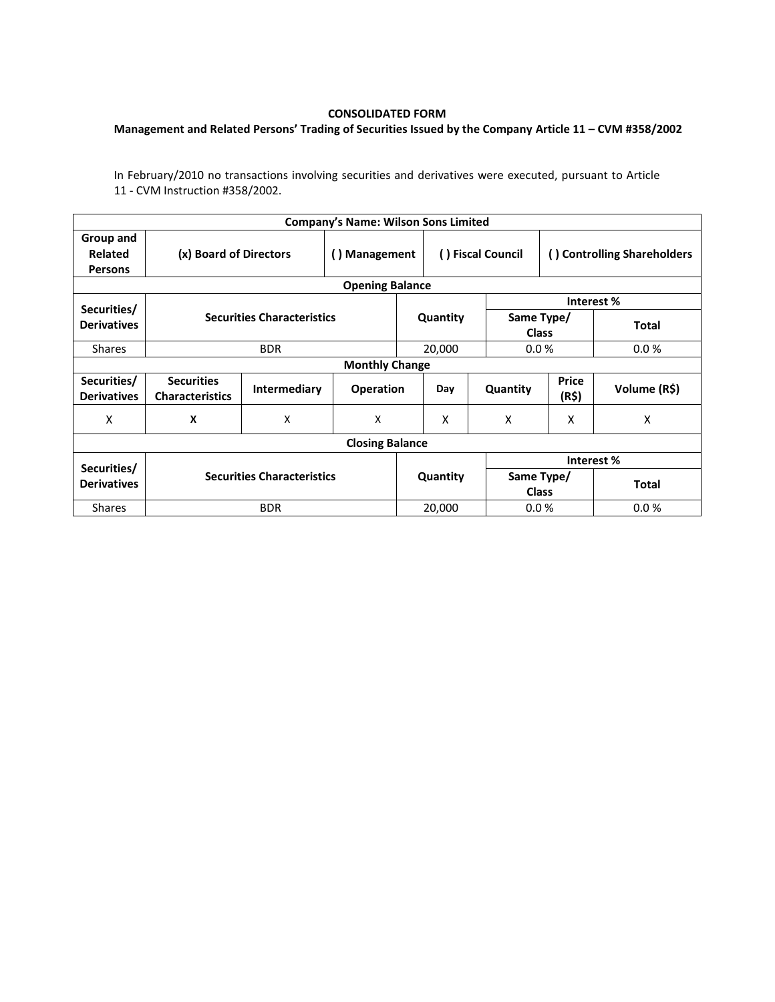## **CONSOLIDATED FORM**

## **Management and Related Persons' Trading of Securities Issued by the Company Article 11 – CVM #358/2002**

In February/2010 no transactions involving securities and derivatives were executed, pursuant to Article 11 - CVM Instruction #358/2002.

|                                               |                                             |                           | <b>Company's Name: Wilson Sons Limited</b> |                   |          |                             |                |              |  |  |  |
|-----------------------------------------------|---------------------------------------------|---------------------------|--------------------------------------------|-------------------|----------|-----------------------------|----------------|--------------|--|--|--|
| Group and<br><b>Related</b><br><b>Persons</b> | (x) Board of Directors                      | () Management             |                                            | () Fiscal Council |          | () Controlling Shareholders |                |              |  |  |  |
| <b>Opening Balance</b>                        |                                             |                           |                                            |                   |          |                             |                |              |  |  |  |
| Securities/                                   | <b>Securities Characteristics</b>           |                           |                                            |                   |          | Interest %                  |                |              |  |  |  |
| <b>Derivatives</b>                            |                                             |                           |                                            |                   | Quantity | Same Type/<br><b>Class</b>  |                | <b>Total</b> |  |  |  |
| <b>Shares</b>                                 |                                             | <b>BDR</b>                |                                            |                   | 20,000   | 0.0%                        |                | 0.0%         |  |  |  |
| <b>Monthly Change</b>                         |                                             |                           |                                            |                   |          |                             |                |              |  |  |  |
| Securities/<br><b>Derivatives</b>             | <b>Securities</b><br><b>Characteristics</b> | <b>Intermediary</b>       | <b>Operation</b>                           |                   | Day      | Quantity                    | Price<br>(R\$) | Volume (R\$) |  |  |  |
| x                                             | X                                           | $\boldsymbol{\mathsf{X}}$ | X                                          |                   | X        | X                           | X              | X            |  |  |  |
| <b>Closing Balance</b>                        |                                             |                           |                                            |                   |          |                             |                |              |  |  |  |
|                                               |                                             |                           |                                            |                   |          | Interest %                  |                |              |  |  |  |
| Securities/<br><b>Derivatives</b>             | <b>Securities Characteristics</b>           |                           |                                            | Quantity          |          | Same Type/<br><b>Class</b>  |                | <b>Total</b> |  |  |  |
| <b>Shares</b>                                 |                                             | <b>BDR</b>                |                                            |                   | 20,000   | 0.0%                        |                | 0.0%         |  |  |  |